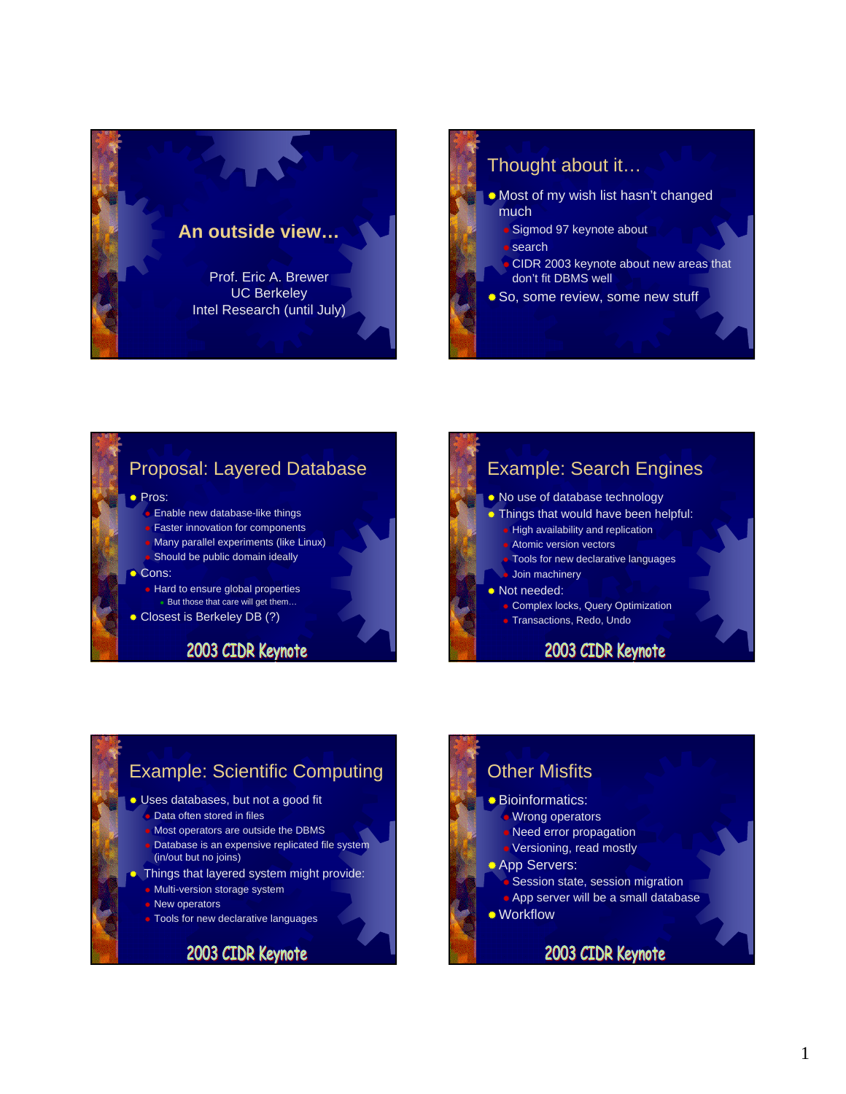

## Thought about it… Most of my wish list hasn't changed much

- Sigmod 97 keynote about **search**
- CIDR 2003 keynote about new areas that don't fit DBMS well
- **So, some review, some new stuff**

### Proposal: Layered Database

● Pros:

- Enable new database-like things
- **Faster innovation for components**
- Many parallel experiments (like Linux) Should be public domain ideally
- Cons:

**Hard to ensure global properties** But those that care will get them…

Closest is Berkeley DB (?)

### 2003 CIDR Keynote



### Example: Scientific Computing Uses databases, but not a good fit Data often stored in files Most operators are outside the DBMS

- Database is an expensive replicated file system (in/out but no joins)
- Things that layered system might provide:
	- Multi-version storage system
	- **New operators**
	- **Tools for new declarative languages**

### 2003 CIDR Keynote

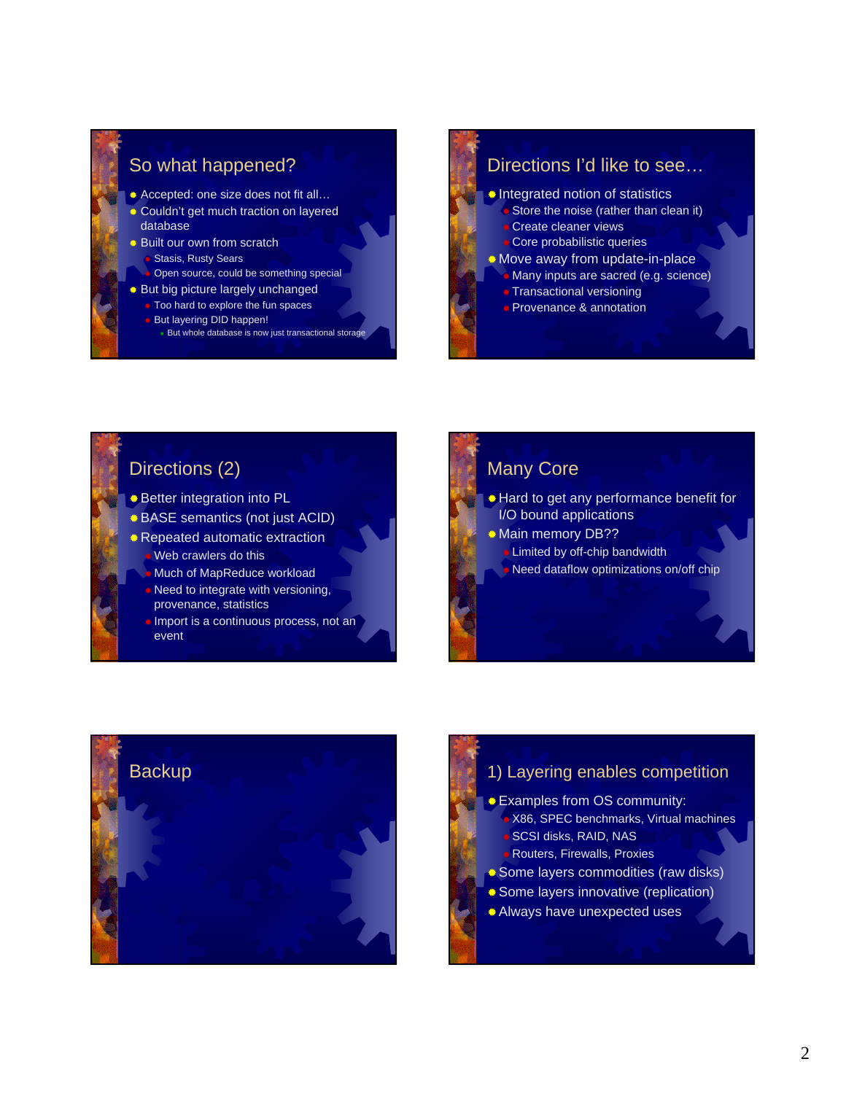### So what happened?

- Accepted: one size does not fit all...
- Couldn't get much traction on layered database
- **Built our own from scratch** 
	- **Stasis, Rusty Sears**
- Open source, could be something special
- **But big picture largely unchanged**
- Too hard to explore the fun spaces **But layering DID happen!** 
	- But whole database is now just transactional storage

### Directions I'd like to see…

- Integrated notion of statistics Store the noise (rather than clean it)
	- Create cleaner views Core probabilistic queries
	-
- Move away from update-in-place **Many inputs are sacred (e.g. science)** 
	- **C** Transactional versioning
	- **Provenance & annotation**

### Directions (2)

- Better integration into PL
- BASE semantics (not just ACID)
- Repeated automatic extraction Web crawlers do this
	- Much of MapReduce workload
	- Need to integrate with versioning, provenance, statistics
	- **Import is a continuous process, not an** event

# Many Core

- Hard to get any performance benefit for I/O bound applications
- **Main memory DB?? Limited by off-chip bandwidth** 
	- Need dataflow optimizations on/off chip



- **Examples from OS community:**  X86, SPEC benchmarks, Virtual machines SCSI disks, RAID, NAS Routers, Firewalls, Proxies
- Some layers commodities (raw disks)
- Some layers innovative (replication)
- Always have unexpected uses